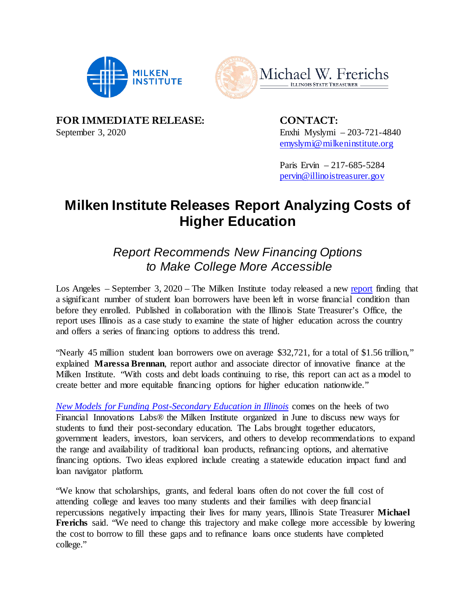



 **FOR IMMEDIATE RELEASE: CONTACT:**  September 3, 2020 Enxhi Myslymi – 203-721-4840

[emyslymi@milkeninstitute.org](mailto:emyslymi@milkeninstitute.org) 

Paris Ervin – 217-685-5284 [pervin@illinoistreasurer.gov](mailto:pervin@illinoistreasurer.gov) 

# **Milken Institute Releases Report Analyzing Costs of Higher Education**

## *Report Recommends New Financing Options to Make College More Accessible*

Los Angeles – September 3, 2020 – The Milken Institute today released a new [report](https://milkeninstitute.org/reports/new-models-funding-post-secondary-education-illinois) finding that a significant number of student loan borrowers have been left in worse financial condition than before they enrolled. Published in collaboration with the Illinois State Treasurer's Office, the report uses Illinois as a case study to examine the state of higher education across the country and offers a series of financing options to address this trend.

 "Nearly 45 million student loan borrowers owe on average \$32,721, for a total of \$1.56 trillion," explained **Maressa Brennan**, report author and associate director of innovative finance at the Milken Institute. "With costs and debt loads continuing to rise, this report can act as a model to create better and more equitable financing options for higher education nationwide."

 *[New Models for Funding Post-Secondary Education in Illinois](https://milkeninstitute.org/reports/new-models-funding-post-secondary-education-illinois)* comes on the heels of two Financial Innovations Labs® the Milken Institute organized in June to discuss new ways for students to fund their post-secondary education. The Labs brought together educators, government leaders, investors, loan servicers, and others to develop recommendations to expand the range and availability of traditional loan products, refinancing options, and alternative financing options. Two ideas explored include creating a statewide education impact fund and loan navigator platform.

 "We know that scholarships, grants, and federal loans often do not cover the full cost of attending college and leaves too many students and their families with deep financial repercussions negatively impacting their lives for many years, Illinois State Treasurer **Michael**  Frerichs said. "We need to change this trajectory and make college more accessible by lowering the cost to borrow to fill these gaps and to refinance loans once students have completed college."